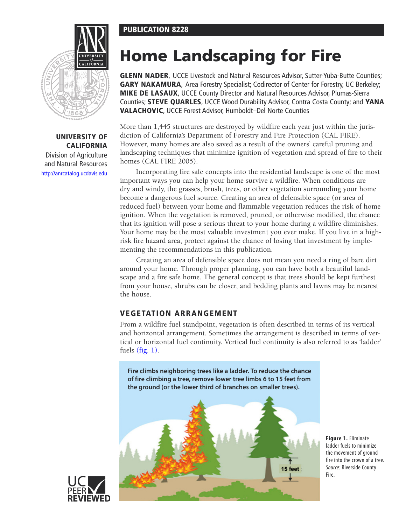# PUBLICATION 8228



# UNIVERSITY OF CALIFORNIA

Division of Agriculture and Natural Resources <http://anrcatalog.ucdavis.edu>

# Home Landscaping for Fire

**GLENN NADER**, UCCE Livestock and Natural Resources Advisor, Sutter-Yuba-Butte Counties; GARY NAKAMURA, Area Forestry Specialist; Codirector of Center for Forestry, UC Berkeley; Mike De Lasaux, UCCE County Director and Natural Resources Advisor, Plumas-Sierra Counties; **STEVE QUARLES**, UCCE Wood Durability Advisor, Contra Costa County; and YANA VALACHOVIC, UCCE Forest Advisor, Humboldt-Del Norte Counties

More than 1,445 structures are destroyed by wildfire each year just within the jurisdiction of California's Department of Forestry and Fire Protection (CAL FIRE). However, many homes are also saved as a result of the owners' careful pruning and landscaping techniques that minimize ignition of vegetation and spread of fire to their homes (CAL FIRE 2005).

Incorporating fire safe concepts into the residential landscape is one of the most important ways you can help your home survive a wildfire. When conditions are dry and windy, the grasses, brush, trees, or other vegetation surrounding your home become a dangerous fuel source. Creating an area of defensible space (or area of reduced fuel) between your home and flammable vegetation reduces the risk of home ignition. When the vegetation is removed, pruned, or otherwise modified, the chance that its ignition will pose a serious threat to your home during a wildfire diminishes. Your home may be the most valuable investment you ever make. If you live in a highrisk fire hazard area, protect against the chance of losing that investment by implementing the recommendations in this publication.

Creating an area of defensible space does not mean you need a ring of bare dirt around your home. Through proper planning, you can have both a beautiful landscape and a fire safe home. The general concept is that trees should be kept furthest from your house, shrubs can be closer, and bedding plants and lawns may be nearest the house.

# Vegetation Arrangement

From a wildfire fuel standpoint, vegetation is often described in terms of its vertical and horizontal arrangement. Sometimes the arrangement is described in terms of vertical or horizontal fuel continuity. Vertical fuel continuity is also referred to as 'ladder' fuels  $(fig. 1)$ .

**Fire climbs neighboring trees like a ladder. To reduce the chance of fire climbing a tree, remove lower tree limbs 6 to 15 feet from the ground (or the lower third of branches on smaller trees).**





**Figure 1.** Eliminate ladder fuels to minimize the movement of ground fire into the crown of a tree. *Source:* Riverside County Fire.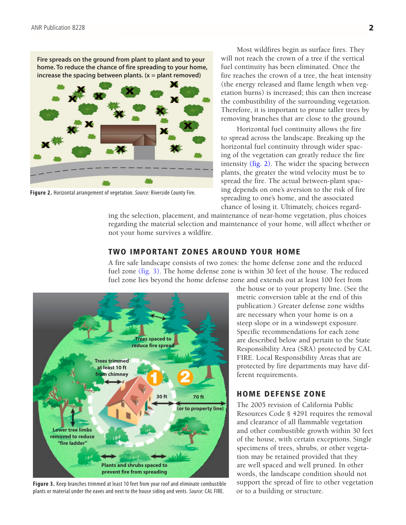**Fire spreads on the ground from plant to plant and to your home. To reduce the chance of fire spreading to your home, increase the spacing between plants. (x = plant removed)**



**Figure 2.** Horizontal arrangement of vegetation. *Source:* Riverside County Fire.

Most wildfires begin as surface fires. They will not reach the crown of a tree if the vertical fuel continuity has been eliminated. Once the fire reaches the crown of a tree, the heat intensity (the energy released and flame length when vegetation burns) is increased; this can then increase the combustibility of the surrounding vegetation. Therefore, it is important to prune taller trees by removing branches that are close to the ground.

Horizontal fuel continuity allows the fire to spread across the landscape. Breaking up the horizontal fuel continuity through wider spacing of the vegetation can greatly reduce the fire intensity (fig. 2). The wider the spacing between plants, the greater the wind velocity must be to spread the fire. The actual between-plant spacing depends on one's aversion to the risk of fire spreading to one's home, and the associated chance of losing it. Ultimately, choices regard-

ing the selection, placement, and maintenance of near-home vegetation, plus choices regarding the material selection and maintenance of your home, will affect whether or not your home survives a wildfire.

# Two important Zones around your home

A fire safe landscape consists of two zones: the home defense zone and the reduced fuel zone (fig. 3). The home defense zone is within 30 feet of the house. The reduced fuel zone lies beyond the home defense zone and extends out at least 100 feet from



**Figure 3.** Keep branches trimmed at least 10 feet from your roof and eliminate combustible plants or material under the eaves and next to the house siding and vents. *Source:* CAL FIRE.

the house or to your property line. (See the metric conversion table at the end of this publication.) Greater defense zone widths are necessary when your home is on a steep slope or in a windswept exposure. Specific recommendations for each zone are described below and pertain to the State Responsibility Area (SRA) protected by CAL FIRE. Local Responsibility Areas that are protected by fire departments may have different requirements.

# Home defense zone

The 2005 revision of California Public Resources Code § 4291 requires the removal and clearance of all flammable vegetation and other combustible growth within 30 feet of the house, with certain exceptions. Single specimens of trees, shrubs, or other vegetation may be retained provided that they are well spaced and well pruned. In other words, the landscape condition should not support the spread of fire to other vegetation or to a building or structure.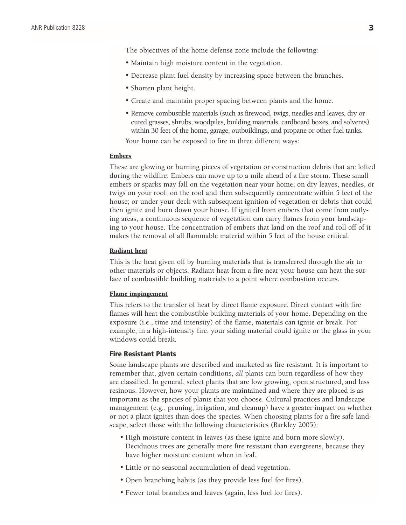The objectives of the home defense zone include the following:

- Maintain high moisture content in the vegetation.
- Decrease plant fuel density by increasing space between the branches.
- Shorten plant height.
- Create and maintain proper spacing between plants and the home.
- Remove combustible materials (such as firewood, twigs, needles and leaves, dry or cured grasses, shrubs, woodpiles, building materials, cardboard boxes, and solvents) within 30 feet of the home, garage, outbuildings, and propane or other fuel tanks.

Your home can be exposed to fire in three different ways:

#### Embers

These are glowing or burning pieces of vegetation or construction debris that are lofted during the wildfire. Embers can move up to a mile ahead of a fire storm. These small embers or sparks may fall on the vegetation near your home; on dry leaves, needles, or twigs on your roof; on the roof and then subsequently concentrate within 5 feet of the house; or under your deck with subsequent ignition of vegetation or debris that could then ignite and burn down your house. If ignited from embers that come from outlying areas, a continuous sequence of vegetation can carry flames from your landscaping to your house. The concentration of embers that land on the roof and roll off of it makes the removal of all flammable material within 5 feet of the house critical.

#### Radiant heat

This is the heat given off by burning materials that is transferred through the air to other materials or objects. Radiant heat from a fire near your house can heat the surface of combustible building materials to a point where combustion occurs.

#### Flame impingement

This refers to the transfer of heat by direct flame exposure*.* Direct contact with fire flames will heat the combustible building materials of your home. Depending on the exposure (i.e., time and intensity) of the flame, materials can ignite or break. For example, in a high-intensity fire, your siding material could ignite or the glass in your windows could break.

#### Fire Resistant Plants

Some landscape plants are described and marketed as fire resistant. It is important to remember that, given certain conditions, *all* plants can burn regardless of how they are classified. In general, select plants that are low growing, open structured, and less resinous. However, how your plants are maintained and where they are placed is as important as the species of plants that you choose. Cultural practices and landscape management (e.g., pruning, irrigation, and cleanup) have a greater impact on whether or not a plant ignites than does the species. When choosing plants for a fire safe landscape, select those with the following characteristics (Barkley 2005):

- High moisture content in leaves (as these ignite and burn more slowly). Deciduous trees are generally more fire resistant than evergreens, because they have higher moisture content when in leaf.
- Little or no seasonal accumulation of dead vegetation.
- Open branching habits (as they provide less fuel for fires).
- Fewer total branches and leaves (again, less fuel for fires).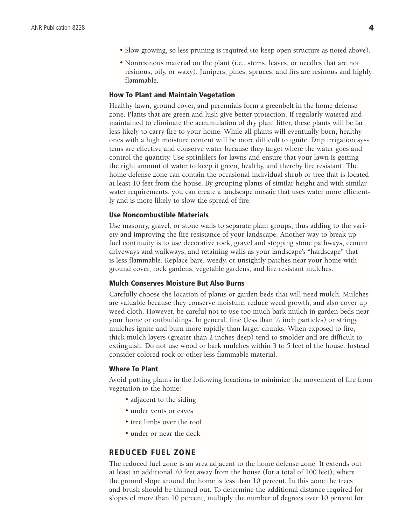- Slow growing, so less pruning is required (to keep open structure as noted above).
- • Nonresinous material on the plant (i.e., stems, leaves, or needles that are not resinous, oily, or waxy). Junipers, pines, spruces, and firs are resinous and highly flammable.

# How To Plant and Maintain Vegetation

Healthy lawn, ground cover, and perennials form a greenbelt in the home defense zone. Plants that are green and lush give better protection. If regularly watered and maintained to eliminate the accumulation of dry plant litter, these plants will be far less likely to carry fire to your home. While all plants will eventually burn, healthy ones with a high moisture content will be more difficult to ignite. Drip irrigation systems are effective and conserve water because they target where the water goes and control the quantity. Use sprinklers for lawns and ensure that your lawn is getting the right amount of water to keep it green, healthy, and thereby fire resistant. The home defense zone can contain the occasional individual shrub or tree that is located at least 10 feet from the house. By grouping plants of similar height and with similar water requirements, you can create a landscape mosaic that uses water more efficiently and is more likely to slow the spread of fire.

### Use Noncombustible Materials

Use masonry, gravel, or stone walls to separate plant groups, thus adding to the variety and improving the fire resistance of your landscape. Another way to break up fuel continuity is to use decorative rock, gravel and stepping stone pathways, cement driveways and walkways, and retaining walls as your landscape's "hardscape" that is less flammable. Replace bare, weedy, or unsightly patches near your home with ground cover, rock gardens, vegetable gardens, and fire resistant mulches.

#### Mulch Conserves Moisture But Also Burns

Carefully choose the location of plants or garden beds that will need mulch. Mulches are valuable because they conserve moisture, reduce weed growth, and also cover up weed cloth. However, be careful not to use too much bark mulch in garden beds near your home or outbuildings. In general, fine (less than  $\frac{1}{4}$  inch particles) or stringy mulches ignite and burn more rapidly than larger chunks. When exposed to fire, thick mulch layers (greater than 2 inches deep) tend to smolder and are difficult to extinguish. Do not use wood or bark mulches within 3 to 5 feet of the house. Instead consider colored rock or other less flammable material.

## Where To Plant

Avoid putting plants in the following locations to minimize the movement of fire from vegetation to the home:

- adjacent to the siding
- under vents or eaves
- tree limbs over the roof
- under or near the deck

## Reduced Fuel Zone

The reduced fuel zone is an area adjacent to the home defense zone. It extends out at least an additional 70 feet away from the house (for a total of 100 feet), where the ground slope around the home is less than 10 percent. In this zone the trees and brush should be thinned out. To determine the additional distance required for slopes of more than 10 percent, multiply the number of degrees over 10 percent for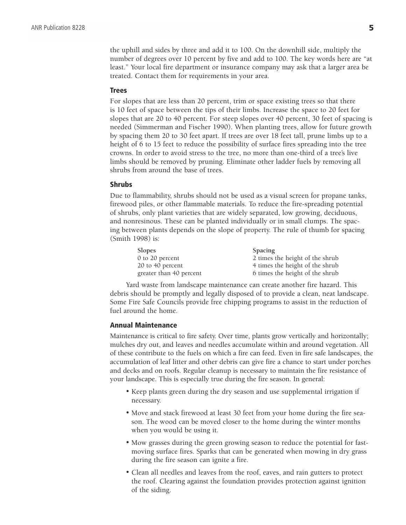the uphill and sides by three and add it to 100. On the downhill side, multiply the number of degrees over 10 percent by five and add to 100. The key words here are "at least." Your local fire department or insurance company may ask that a larger area be treated. Contact them for requirements in your area.

#### Trees

For slopes that are less than 20 percent, trim or space existing trees so that there is 10 feet of space between the tips of their limbs. Increase the space to 20 feet for slopes that are 20 to 40 percent. For steep slopes over 40 percent, 30 feet of spacing is needed (Simmerman and Fischer 1990). When planting trees, allow for future growth by spacing them 20 to 30 feet apart. If trees are over 18 feet tall, prune limbs up to a height of 6 to 15 feet to reduce the possibility of surface fires spreading into the tree crowns. In order to avoid stress to the tree, no more than one-third of a tree's live limbs should be removed by pruning. Eliminate other ladder fuels by removing all shrubs from around the base of trees.

#### Shrubs

Due to flammability, shrubs should not be used as a visual screen for propane tanks, firewood piles, or other flammable materials. To reduce the fire-spreading potential of shrubs, only plant varieties that are widely separated, low growing, deciduous, and nonresinous. These can be planted individually or in small clumps. The spacing between plants depends on the slope of property. The rule of thumb for spacing (Smith 1998) is:

| Spacing                         |
|---------------------------------|
| 2 times the height of the shrub |
| 4 times the height of the shrub |
| 6 times the height of the shrub |
|                                 |

Yard waste from landscape maintenance can create another fire hazard. This debris should be promptly and legally disposed of to provide a clean, neat landscape. Some Fire Safe Councils provide free chipping programs to assist in the reduction of fuel around the home.

#### Annual Maintenance

Maintenance is critical to fire safety. Over time, plants grow vertically and horizontally; mulches dry out, and leaves and needles accumulate within and around vegetation. All of these contribute to the fuels on which a fire can feed. Even in fire safe landscapes, the accumulation of leaf litter and other debris can give fire a chance to start under porches and decks and on roofs. Regular cleanup is necessary to maintain the fire resistance of your landscape. This is especially true during the fire season. In general:

- Keep plants green during the dry season and use supplemental irrigation if necessary.
- Move and stack firewood at least 30 feet from your home during the fire season. The wood can be moved closer to the home during the winter months when you would be using it.
- • Mow grasses during the green growing season to reduce the potential for fastmoving surface fires. Sparks that can be generated when mowing in dry grass during the fire season can ignite a fire.
- Clean all needles and leaves from the roof, eaves, and rain gutters to protect the roof. Clearing against the foundation provides protection against ignition of the siding.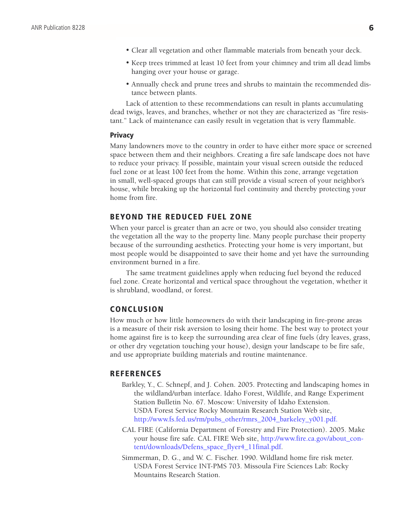- Clear all vegetation and other flammable materials from beneath your deck.
- • Keep trees trimmed at least 10 feet from your chimney and trim all dead limbs hanging over your house or garage.
- Annually check and prune trees and shrubs to maintain the recommended distance between plants.

Lack of attention to these recommendations can result in plants accumulating dead twigs, leaves, and branches, whether or not they are characterized as "fire resistant." Lack of maintenance can easily result in vegetation that is very flammable.

#### **Privacy**

Many landowners move to the country in order to have either more space or screened space between them and their neighbors. Creating a fire safe landscape does not have to reduce your privacy. If possible, maintain your visual screen outside the reduced fuel zone or at least 100 feet from the home. Within this zone, arrange vegetation in small, well*-*spaced groups that can still provide a visual screen of your neighbor's house, while breaking up the horizontal fuel continuity and thereby protecting your home from fire.

# Beyond the Reduced Fuel Zone

When your parcel is greater than an acre or two, you should also consider treating the vegetation all the way to the property line. Many people purchase their property because of the surrounding aesthetics. Protecting your home is very important, but most people would be disappointed to save their home and yet have the surrounding environment burned in a fire.

The same treatment guidelines apply when reducing fuel beyond the reduced fuel zone. Create horizontal and vertical space throughout the vegetation, whether it is shrubland, woodland, or forest.

# **CONCLUSION**

How much or how little homeowners do with their landscaping in fire-prone areas is a measure of their risk aversion to losing their home. The best way to protect your home against fire is to keep the surrounding area clear of fine fuels (dry leaves, grass, or other dry vegetation touching your house), design your landscape to be fire safe, and use appropriate building materials and routine maintenance.

# **REFERENCES**

- Barkley, Y., C. Schnepf, and J. Cohen. 2005. Protecting and landscaping homes in the wildland/urban interface. Idaho Forest, Wildlife, and Range Experiment Station Bulletin No. 67. Moscow: University of Idaho Extension. USDA Forest Service Rocky Mountain Research Station Web site, [http://www.fs.fed.us/rm/pubs\\_other/rmrs\\_2004\\_barkeley\\_y001.pdf.](http://www.fs.fed.us/rm/pubs_other/rmrs_2004_barkeley_y001.pdf. )
- CAL FIRE (California Department of Forestry and Fire Protection). 2005. Make your house fire safe. CAL FIRE Web site, [http://www.fire.ca.gov/about\\_con](http://www.fire.ca.gov/about_content/downloads/Defens_space_flyer4_11final.pdf.)[tent/downloads/Defens\\_space\\_flyer4\\_11final.pdf.](http://www.fire.ca.gov/about_content/downloads/Defens_space_flyer4_11final.pdf.)
- Simmerman, D. G., and W. C. Fischer. 1990. Wildland home fire risk meter. USDA Forest Service INT-PMS 703. Missoula Fire Sciences Lab: Rocky Mountains Research Station.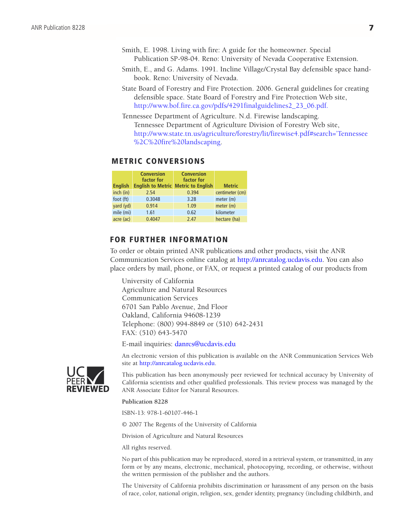- Smith, E. 1998. Living with fire: A guide for the homeowner. Special Publication SP-98-04. Reno: University of Nevada Cooperative Extension.
- Smith, E., and G. Adams. 1991. Incline Village/Crystal Bay defensible space handbook. Reno: University of Nevada.
- State Board of Forestry and Fire Protection. 2006. General guidelines for creating defensible space. State Board of Forestry and Fire Protection Web site, [http://www.bof.fire.ca.gov/pdfs/4291finalguidelines2\\_23\\_06.pdf](http://www.bof.fire.ca.gov/pdfs/4291finalguidelines2_23_06.pdf).
- Tennessee Department of Agriculture. N.d. Firewise landscaping. Tennessee Department of Agriculture Division of Forestry Web site, [http://www.state.tn.us/agriculture/forestry/lit/firewise4.pdf#search='Tennessee](http://www.state.tn.us/agriculture/forestry/lit/firewise4.pdf#search=�Tennessee%2C%20fire%20landscaping) [%2C%20fire%20landscaping.](http://www.state.tn.us/agriculture/forestry/lit/firewise4.pdf#search=�Tennessee%2C%20fire%20landscaping)

# Metric Conversions

|                | <b>Conversion</b><br>factor for | <b>Conversion</b><br>factor for            |                 |
|----------------|---------------------------------|--------------------------------------------|-----------------|
| <b>English</b> |                                 | <b>English to Metric Metric to English</b> | <b>Metric</b>   |
| inch (in)      | 2.54                            | 0.394                                      | centimeter (cm) |
| foot (ft)      | 0.3048                          | 3.28                                       | meter $(m)$     |
| yard (yd)      | 0.914                           | 1.09                                       | meter (m)       |
| mile (mi)      | 1.61                            | 0.62                                       | kilometer       |
| acre (ac)      | 0.4047                          | 2.47                                       | hectare (ha)    |

# For further information

To order or obtain printed ANR publications and other products, visit the ANR Communication Services online catalog at [http://anrcatalog.ucdavis.edu.](http://anrcatalog.ucdavis.edu) You can also place orders by mail, phone, or FAX, or request a printed catalog of our products from

University of California Agriculture and Natural Resources Communication Services 6701 San Pablo Avenue, 2nd Floor Oakland, California 94608-1239 Telephone: (800) 994-8849 or (510) 642-2431 FAX: (510) 643-5470

E-mail inquiries: [danrcs@ucdavis.edu](mailto:danrcs@ucdavis.edu)

An electronic version of this publication is available on the ANR Communication Services Web site at [http://anrcatalog.ucdavis.edu.](http://anrcatalog.ucdavis.edu)



This publication has been anonymously peer reviewed for technical accuracy by University of California scientists and other qualified professionals. This review process was managed by the ANR Associate Editor for Natural Resources.

#### **Publication 8228**

ISBN-13: 978-1-60107-446-1

© 2007 The Regents of the University of California

Division of Agriculture and Natural Resources

All rights reserved.

No part of this publication may be reproduced, stored in a retrieval system, or transmitted, in any form or by any means, electronic, mechanical, photocopying, recording, or otherwise, without the written permission of the publisher and the authors.

The University of California prohibits discrimination or harassment of any person on the basis of race, color, national origin, religion, sex, gender identity, pregnancy (including childbirth, and